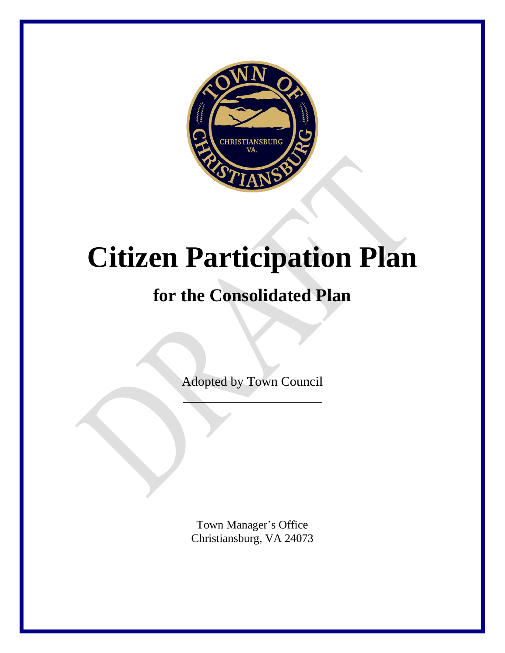

# **Citizen Participation Plan**

# **for the Consolidated Plan**

Adopted by Town Council

 $\overline{\phantom{a}}$ 

Town Manager's Office Christiansburg, VA 24073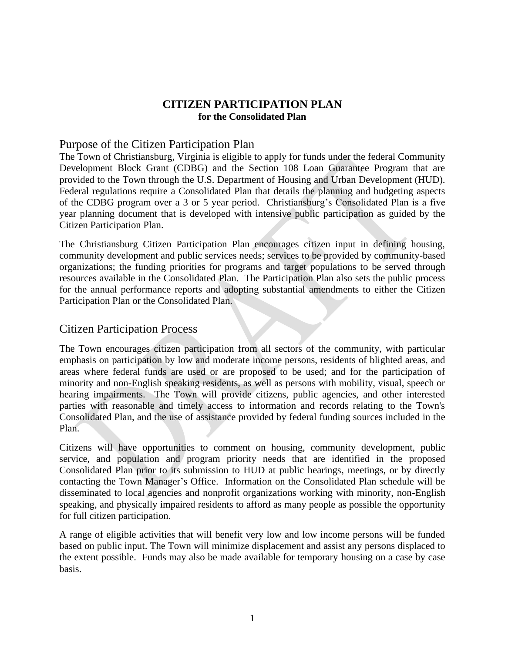#### **CITIZEN PARTICIPATION PLAN for the Consolidated Plan**

#### Purpose of the Citizen Participation Plan

The Town of Christiansburg, Virginia is eligible to apply for funds under the federal Community Development Block Grant (CDBG) and the Section 108 Loan Guarantee Program that are provided to the Town through the U.S. Department of Housing and Urban Development (HUD). Federal regulations require a Consolidated Plan that details the planning and budgeting aspects of the CDBG program over a 3 or 5 year period. Christiansburg's Consolidated Plan is a five year planning document that is developed with intensive public participation as guided by the Citizen Participation Plan.

The Christiansburg Citizen Participation Plan encourages citizen input in defining housing, community development and public services needs; services to be provided by community-based organizations; the funding priorities for programs and target populations to be served through resources available in the Consolidated Plan. The Participation Plan also sets the public process for the annual performance reports and adopting substantial amendments to either the Citizen Participation Plan or the Consolidated Plan.

#### Citizen Participation Process

The Town encourages citizen participation from all sectors of the community, with particular emphasis on participation by low and moderate income persons, residents of blighted areas, and areas where federal funds are used or are proposed to be used; and for the participation of minority and non-English speaking residents, as well as persons with mobility, visual, speech or hearing impairments. The Town will provide citizens, public agencies, and other interested parties with reasonable and timely access to information and records relating to the Town's Consolidated Plan, and the use of assistance provided by federal funding sources included in the Plan.

Citizens will have opportunities to comment on housing, community development, public service, and population and program priority needs that are identified in the proposed Consolidated Plan prior to its submission to HUD at public hearings, meetings, or by directly contacting the Town Manager's Office. Information on the Consolidated Plan schedule will be disseminated to local agencies and nonprofit organizations working with minority, non-English speaking, and physically impaired residents to afford as many people as possible the opportunity for full citizen participation.

A range of eligible activities that will benefit very low and low income persons will be funded based on public input. The Town will minimize displacement and assist any persons displaced to the extent possible. Funds may also be made available for temporary housing on a case by case basis.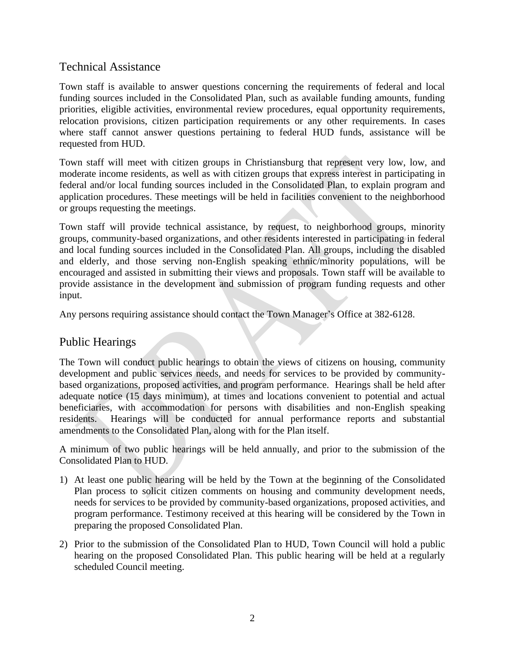# Technical Assistance

Town staff is available to answer questions concerning the requirements of federal and local funding sources included in the Consolidated Plan, such as available funding amounts, funding priorities, eligible activities, environmental review procedures, equal opportunity requirements, relocation provisions, citizen participation requirements or any other requirements. In cases where staff cannot answer questions pertaining to federal HUD funds, assistance will be requested from HUD.

Town staff will meet with citizen groups in Christiansburg that represent very low, low, and moderate income residents, as well as with citizen groups that express interest in participating in federal and/or local funding sources included in the Consolidated Plan, to explain program and application procedures. These meetings will be held in facilities convenient to the neighborhood or groups requesting the meetings.

Town staff will provide technical assistance, by request, to neighborhood groups, minority groups, community-based organizations, and other residents interested in participating in federal and local funding sources included in the Consolidated Plan. All groups, including the disabled and elderly, and those serving non-English speaking ethnic/minority populations, will be encouraged and assisted in submitting their views and proposals. Town staff will be available to provide assistance in the development and submission of program funding requests and other input.

Any persons requiring assistance should contact the Town Manager's Office at 382-6128.

# Public Hearings

The Town will conduct public hearings to obtain the views of citizens on housing, community development and public services needs, and needs for services to be provided by communitybased organizations, proposed activities, and program performance. Hearings shall be held after adequate notice (15 days minimum), at times and locations convenient to potential and actual beneficiaries, with accommodation for persons with disabilities and non-English speaking residents. Hearings will be conducted for annual performance reports and substantial amendments to the Consolidated Plan, along with for the Plan itself.

A minimum of two public hearings will be held annually, and prior to the submission of the Consolidated Plan to HUD.

- 1) At least one public hearing will be held by the Town at the beginning of the Consolidated Plan process to solicit citizen comments on housing and community development needs, needs for services to be provided by community-based organizations, proposed activities, and program performance. Testimony received at this hearing will be considered by the Town in preparing the proposed Consolidated Plan.
- 2) Prior to the submission of the Consolidated Plan to HUD, Town Council will hold a public hearing on the proposed Consolidated Plan. This public hearing will be held at a regularly scheduled Council meeting.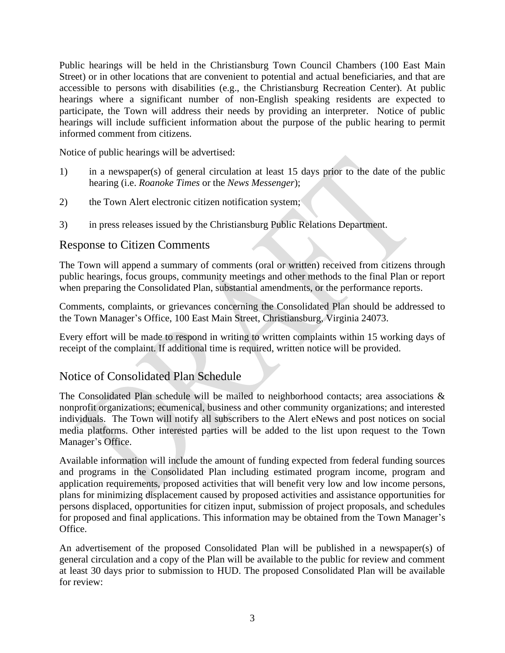Public hearings will be held in the Christiansburg Town Council Chambers (100 East Main Street) or in other locations that are convenient to potential and actual beneficiaries, and that are accessible to persons with disabilities (e.g., the Christiansburg Recreation Center). At public hearings where a significant number of non-English speaking residents are expected to participate, the Town will address their needs by providing an interpreter. Notice of public hearings will include sufficient information about the purpose of the public hearing to permit informed comment from citizens.

Notice of public hearings will be advertised:

- 1) in a newspaper(s) of general circulation at least 15 days prior to the date of the public hearing (i.e. *Roanoke Times* or the *News Messenger*);
- 2) the Town Alert electronic citizen notification system;
- 3) in press releases issued by the Christiansburg Public Relations Department.

#### Response to Citizen Comments

The Town will append a summary of comments (oral or written) received from citizens through public hearings, focus groups, community meetings and other methods to the final Plan or report when preparing the Consolidated Plan, substantial amendments, or the performance reports.

Comments, complaints, or grievances concerning the Consolidated Plan should be addressed to the Town Manager's Office, 100 East Main Street, Christiansburg, Virginia 24073.

Every effort will be made to respond in writing to written complaints within 15 working days of receipt of the complaint. If additional time is required, written notice will be provided.

# Notice of Consolidated Plan Schedule

The Consolidated Plan schedule will be mailed to neighborhood contacts; area associations & nonprofit organizations; ecumenical, business and other community organizations; and interested individuals. The Town will notify all subscribers to the Alert eNews and post notices on social media platforms. Other interested parties will be added to the list upon request to the Town Manager's Office.

Available information will include the amount of funding expected from federal funding sources and programs in the Consolidated Plan including estimated program income, program and application requirements, proposed activities that will benefit very low and low income persons, plans for minimizing displacement caused by proposed activities and assistance opportunities for persons displaced, opportunities for citizen input, submission of project proposals, and schedules for proposed and final applications. This information may be obtained from the Town Manager's Office.

An advertisement of the proposed Consolidated Plan will be published in a newspaper(s) of general circulation and a copy of the Plan will be available to the public for review and comment at least 30 days prior to submission to HUD. The proposed Consolidated Plan will be available for review: